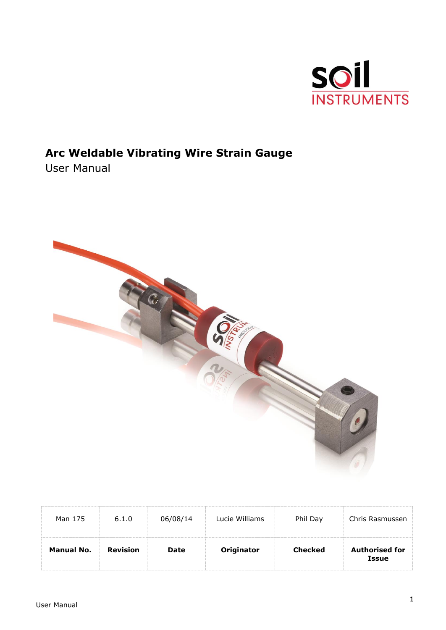

# **Arc Weldable Vibrating Wire Strain Gauge**

User Manual



| Man 175    | 6.1.0           | 06/08/14    | Lucie Williams | Phil Day       | Chris Rasmussen                       |
|------------|-----------------|-------------|----------------|----------------|---------------------------------------|
| Manual No. | <b>Revision</b> | <b>Date</b> | Originator     | <b>Checked</b> | <b>Authorised for</b><br><b>Issue</b> |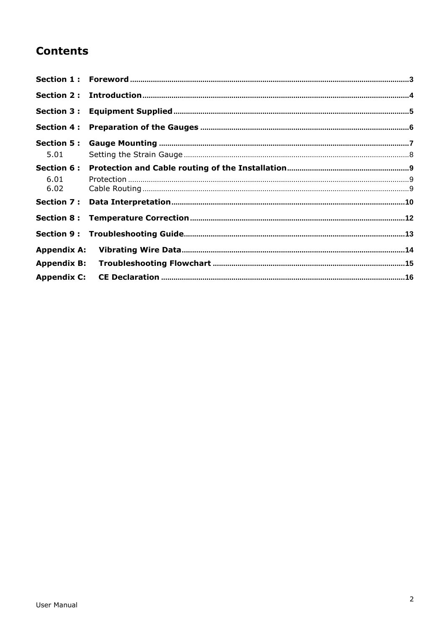# **Contents**

| <b>Section 4:</b>  |  |
|--------------------|--|
|                    |  |
| 5.01               |  |
| Section 6 :        |  |
| 6.01               |  |
| 6.02               |  |
|                    |  |
|                    |  |
|                    |  |
| <b>Appendix A:</b> |  |
| <b>Appendix B:</b> |  |
| <b>Appendix C:</b> |  |
|                    |  |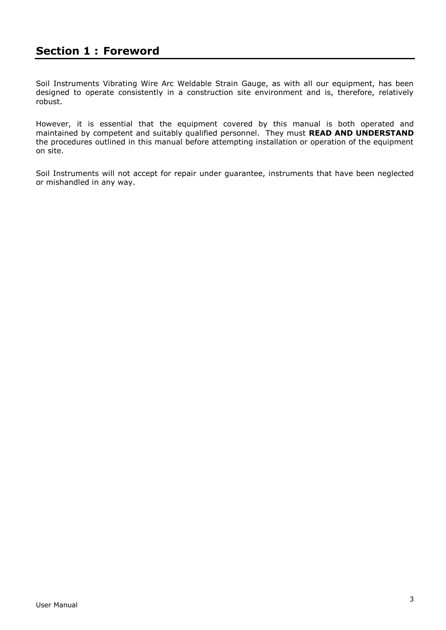## <span id="page-2-0"></span>**Section 1 : Foreword**

Soil Instruments Vibrating Wire Arc Weldable Strain Gauge, as with all our equipment, has been designed to operate consistently in a construction site environment and is, therefore, relatively robust.

However, it is essential that the equipment covered by this manual is both operated and maintained by competent and suitably qualified personnel. They must **READ AND UNDERSTAND** the procedures outlined in this manual before attempting installation or operation of the equipment on site.

Soil Instruments will not accept for repair under guarantee, instruments that have been neglected or mishandled in any way.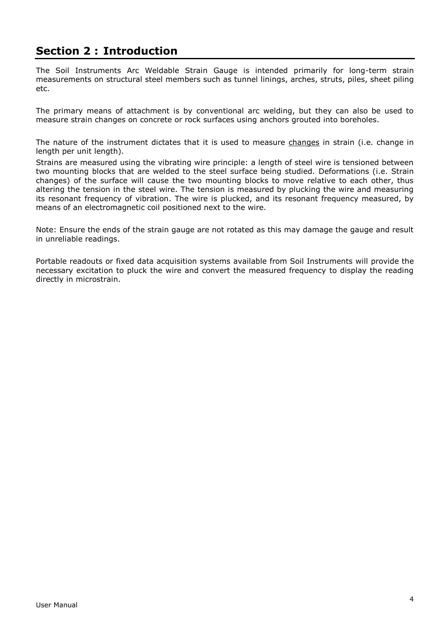# <span id="page-3-0"></span>**Section 2 : Introduction**

The Soil Instruments Arc Weldable Strain Gauge is intended primarily for long-term strain measurements on structural steel members such as tunnel linings, arches, struts, piles, sheet piling etc.

The primary means of attachment is by conventional arc welding, but they can also be used to measure strain changes on concrete or rock surfaces using anchors grouted into boreholes.

The nature of the instrument dictates that it is used to measure changes in strain (i.e. change in length per unit length).

Strains are measured using the vibrating wire principle: a length of steel wire is tensioned between two mounting blocks that are welded to the steel surface being studied. Deformations (i.e. Strain changes) of the surface will cause the two mounting blocks to move relative to each other, thus altering the tension in the steel wire. The tension is measured by plucking the wire and measuring its resonant frequency of vibration. The wire is plucked, and its resonant frequency measured, by means of an electromagnetic coil positioned next to the wire.

Note: Ensure the ends of the strain gauge are not rotated as this may damage the gauge and result in unreliable readings.

Portable readouts or fixed data acquisition systems available from Soil Instruments will provide the necessary excitation to pluck the wire and convert the measured frequency to display the reading directly in microstrain.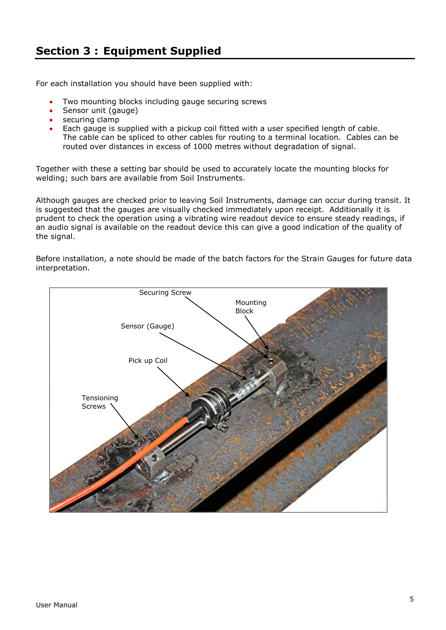<span id="page-4-0"></span>For each installation you should have been supplied with:

- Two mounting blocks including gauge securing screws
- Sensor unit (gauge)
- securing clamp
- Each gauge is supplied with a pickup coil fitted with a user specified length of cable. The cable can be spliced to other cables for routing to a terminal location. Cables can be routed over distances in excess of 1000 metres without degradation of signal.

Together with these a setting bar should be used to accurately locate the mounting blocks for welding; such bars are available from Soil Instruments.

Although gauges are checked prior to leaving Soil Instruments, damage can occur during transit. It is suggested that the gauges are visually checked immediately upon receipt. Additionally it is prudent to check the operation using a vibrating wire readout device to ensure steady readings, if an audio signal is available on the readout device this can give a good indication of the quality of the signal.

Before installation, a note should be made of the batch factors for the Strain Gauges for future data interpretation.

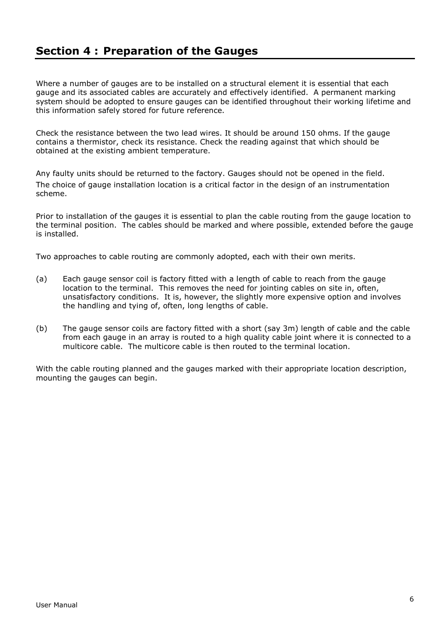## <span id="page-5-0"></span>**Section 4 : Preparation of the Gauges**

Where a number of gauges are to be installed on a structural element it is essential that each gauge and its associated cables are accurately and effectively identified. A permanent marking system should be adopted to ensure gauges can be identified throughout their working lifetime and this information safely stored for future reference.

Check the resistance between the two lead wires. It should be around 150 ohms. If the gauge contains a thermistor, check its resistance. Check the reading against that which should be obtained at the existing ambient temperature.

Any faulty units should be returned to the factory. Gauges should not be opened in the field. The choice of gauge installation location is a critical factor in the design of an instrumentation scheme.

Prior to installation of the gauges it is essential to plan the cable routing from the gauge location to the terminal position. The cables should be marked and where possible, extended before the gauge is installed.

Two approaches to cable routing are commonly adopted, each with their own merits.

- (a) Each gauge sensor coil is factory fitted with a length of cable to reach from the gauge location to the terminal. This removes the need for jointing cables on site in, often, unsatisfactory conditions. It is, however, the slightly more expensive option and involves the handling and tying of, often, long lengths of cable.
- (b) The gauge sensor coils are factory fitted with a short (say 3m) length of cable and the cable from each gauge in an array is routed to a high quality cable joint where it is connected to a multicore cable. The multicore cable is then routed to the terminal location.

With the cable routing planned and the gauges marked with their appropriate location description, mounting the gauges can begin.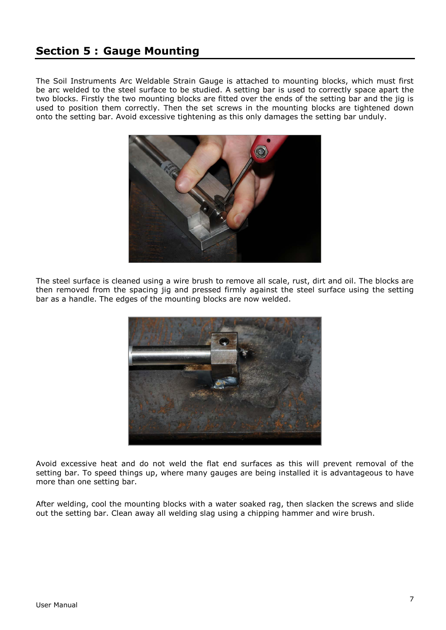## <span id="page-6-0"></span>**Section 5 : Gauge Mounting**

The Soil Instruments Arc Weldable Strain Gauge is attached to mounting blocks, which must first be arc welded to the steel surface to be studied. A setting bar is used to correctly space apart the two blocks. Firstly the two mounting blocks are fitted over the ends of the setting bar and the jig is used to position them correctly. Then the set screws in the mounting blocks are tightened down onto the setting bar. Avoid excessive tightening as this only damages the setting bar unduly.



The steel surface is cleaned using a wire brush to remove all scale, rust, dirt and oil. The blocks are then removed from the spacing jig and pressed firmly against the steel surface using the setting bar as a handle. The edges of the mounting blocks are now welded.



Avoid excessive heat and do not weld the flat end surfaces as this will prevent removal of the setting bar. To speed things up, where many gauges are being installed it is advantageous to have more than one setting bar.

After welding, cool the mounting blocks with a water soaked rag, then slacken the screws and slide out the setting bar. Clean away all welding slag using a chipping hammer and wire brush.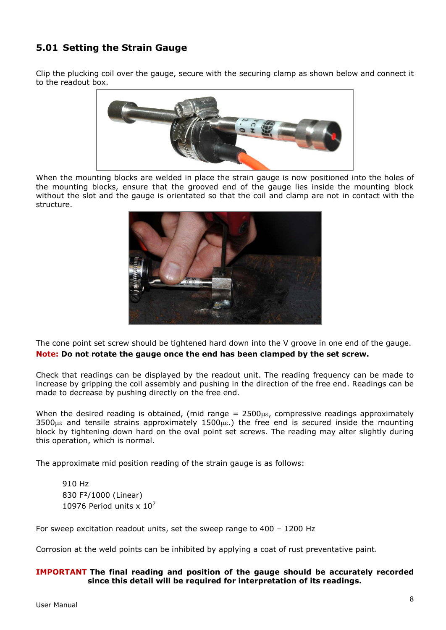## <span id="page-7-0"></span>**5.01 Setting the Strain Gauge**

Clip the plucking coil over the gauge, secure with the securing clamp as shown below and connect it to the readout box.



When the mounting blocks are welded in place the strain gauge is now positioned into the holes of the mounting blocks, ensure that the grooved end of the gauge lies inside the mounting block without the slot and the gauge is orientated so that the coil and clamp are not in contact with the structure.



The cone point set screw should be tightened hard down into the V groove in one end of the gauge. **Note: Do not rotate the gauge once the end has been clamped by the set screw.**

Check that readings can be displayed by the readout unit. The reading frequency can be made to increase by gripping the coil assembly and pushing in the direction of the free end. Readings can be made to decrease by pushing directly on the free end.

When the desired reading is obtained, (mid range  $= 2500 \mu \epsilon$ , compressive readings approximately  $3500\mu\epsilon$  and tensile strains approximately  $1500\mu\epsilon$ .) the free end is secured inside the mounting block by tightening down hard on the oval point set screws. The reading may alter slightly during this operation, which is normal.

The approximate mid position reading of the strain gauge is as follows:

910 Hz 830 F²/1000 (Linear) 10976 Period units  $\times 10^7$ 

For sweep excitation readout units, set the sweep range to 400 – 1200 Hz

Corrosion at the weld points can be inhibited by applying a coat of rust preventative paint.

### **IMPORTANT The final reading and position of the gauge should be accurately recorded since this detail will be required for interpretation of its readings.**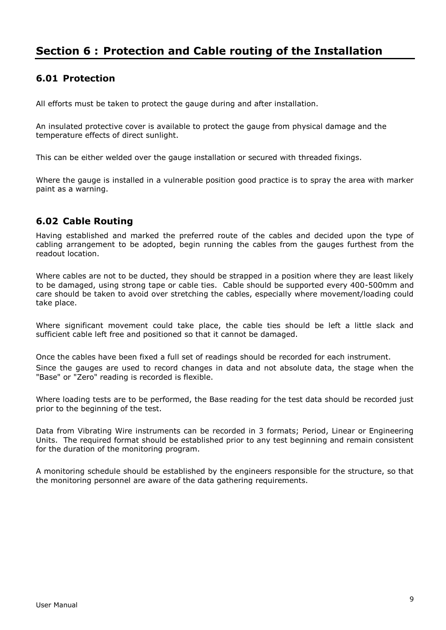## <span id="page-8-0"></span>**Section 6 : Protection and Cable routing of the Installation**

## <span id="page-8-1"></span>**6.01 Protection**

All efforts must be taken to protect the gauge during and after installation.

An insulated protective cover is available to protect the gauge from physical damage and the temperature effects of direct sunlight.

This can be either welded over the gauge installation or secured with threaded fixings.

Where the gauge is installed in a vulnerable position good practice is to spray the area with marker paint as a warning.

## <span id="page-8-2"></span>**6.02 Cable Routing**

Having established and marked the preferred route of the cables and decided upon the type of cabling arrangement to be adopted, begin running the cables from the gauges furthest from the readout location.

Where cables are not to be ducted, they should be strapped in a position where they are least likely to be damaged, using strong tape or cable ties. Cable should be supported every 400-500mm and care should be taken to avoid over stretching the cables, especially where movement/loading could take place.

Where significant movement could take place, the cable ties should be left a little slack and sufficient cable left free and positioned so that it cannot be damaged.

Once the cables have been fixed a full set of readings should be recorded for each instrument. Since the gauges are used to record changes in data and not absolute data, the stage when the "Base" or "Zero" reading is recorded is flexible.

Where loading tests are to be performed, the Base reading for the test data should be recorded just prior to the beginning of the test.

Data from Vibrating Wire instruments can be recorded in 3 formats; Period, Linear or Engineering Units. The required format should be established prior to any test beginning and remain consistent for the duration of the monitoring program.

A monitoring schedule should be established by the engineers responsible for the structure, so that the monitoring personnel are aware of the data gathering requirements.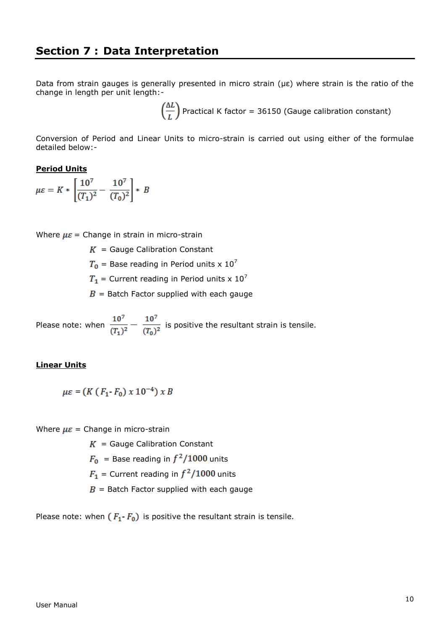<span id="page-9-0"></span>Data from strain gauges is generally presented in micro strain (με) where strain is the ratio of the change in length per unit length:-

 $\left(\frac{\Delta L}{I}\right)$  Practical K factor = 36150 (Gauge calibration constant)

Conversion of Period and Linear Units to micro-strain is carried out using either of the formulae detailed below:-

### **Period Units**

$$
\mu \varepsilon = K * \left[ \frac{10^7}{(T_1)^2} - \frac{10^7}{(T_0)^2} \right] * B
$$

Where  $\mu \varepsilon$  = Change in strain in micro-strain

 $K =$  Gauge Calibration Constant

 $T_0$  = Base reading in Period units x 10<sup>7</sup>

 $T_1$  = Current reading in Period units x 10<sup>7</sup>

 $B =$  Batch Factor supplied with each gauge

Please note: when  $\frac{10^7}{(T_1)^2} - \frac{10^7}{(T_0)^2}$  is positive the resultant strain is tensile.

### **Linear Units**

$$
\mu \varepsilon = (K (F_1 \cdot F_0) \times 10^{-4}) \times B
$$

Where  $\mu \varepsilon$  = Change in micro-strain

 $K =$  Gauge Calibration Constant

 $F_0$  = Base reading in  $f^2/1000$  units

 $F_1$  = Current reading in  $f^2/1000$  units

 $B =$  Batch Factor supplied with each gauge

Please note: when  $(F_1 - F_0)$  is positive the resultant strain is tensile.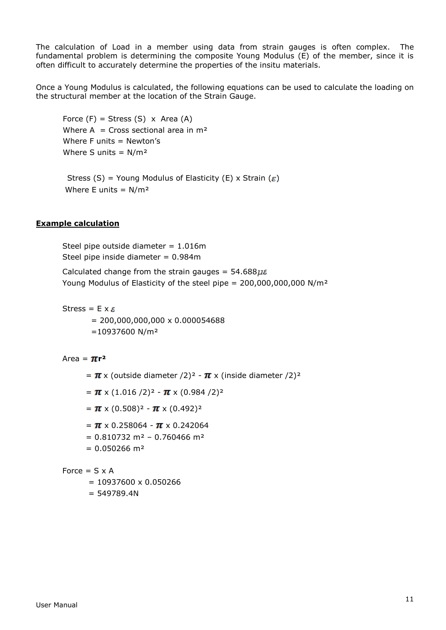The calculation of Load in a member using data from strain gauges is often complex. The fundamental problem is determining the composite Young Modulus (E) of the member, since it is often difficult to accurately determine the properties of the insitu materials.

Once a Young Modulus is calculated, the following equations can be used to calculate the loading on the structural member at the location of the Strain Gauge.

Force  $(F)$  = Stress  $(S)$  x Area  $(A)$ Where A = Cross sectional area in  $m<sup>2</sup>$ Where  $F$  units = Newton's Where S units =  $N/m^2$ 

Stress (S) = Young Modulus of Elasticity (E) x Strain ( $\varepsilon$ ) Where E units =  $N/m^2$ 

### **Example calculation**

Steel pipe outside diameter = 1.016m Steel pipe inside diameter = 0.984m

Calculated change from the strain gauges =  $54.688\mu\epsilon$ Young Modulus of Elasticity of the steel pipe = 200,000,000,000 N/m²

Stress =  $E \times \varepsilon$ 

 $= 200,000,000,000 \times 0.000054688$  $=10937600$  N/m<sup>2</sup>

Area =  $\pi r^2$ 

- $= \pi \times$  (outside diameter /2)<sup>2</sup>  $\pi \times$  (inside diameter /2)<sup>2</sup>
- $= \pi \times (1.016 / 2)^2 \pi \times (0.984 / 2)^2$
- $= \pi \times (0.508)^2 \pi \times (0.492)^2$
- $= \pi \times 0.258064 \pi \times 0.242064$
- $= 0.810732 \text{ m}^2 0.760466 \text{ m}^2$
- $= 0.050266$  m<sup>2</sup>

Force  $= S \times A$ 

- $= 10937600 \times 0.050266$
- $= 549789.4N$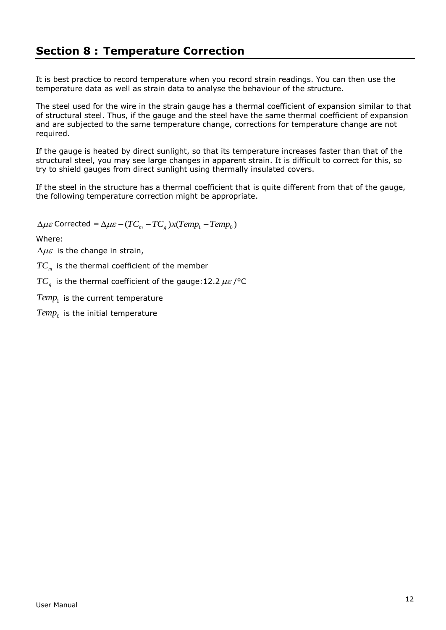<span id="page-11-0"></span>It is best practice to record temperature when you record strain readings. You can then use the temperature data as well as strain data to analyse the behaviour of the structure.

The steel used for the wire in the strain gauge has a thermal coefficient of expansion similar to that of structural steel. Thus, if the gauge and the steel have the same thermal coefficient of expansion and are subjected to the same temperature change, corrections for temperature change are not required.

If the gauge is heated by direct sunlight, so that its temperature increases faster than that of the structural steel, you may see large changes in apparent strain. It is difficult to correct for this, so try to shield gauges from direct sunlight using thermally insulated covers.

If the steel in the structure has a thermal coefficient that is quite different from that of the gauge, the following temperature correction might be appropriate.

 $\Delta\mu\varepsilon$  Corrected  $=$   $\Delta\mu\varepsilon$   $-$  (  $TC_{_m}$   $TC_{_g}$   $)$   $x(Temp_{_1}$   $Temp_{_0})$ 

Where:

 $\Delta\mu\varepsilon$  is the change in strain,

 $TC_{\scriptscriptstyle m}$  is the thermal coefficient of the member

 $TC_{_g}$  is the thermal coefficient of the gauge:12.2  $\mu\varepsilon$  /°C

 $Temp_1^{\phantom{\dag}}$  is the current temperature

 $Temp_{0}^{\phantom{\dag}}$  is the initial temperature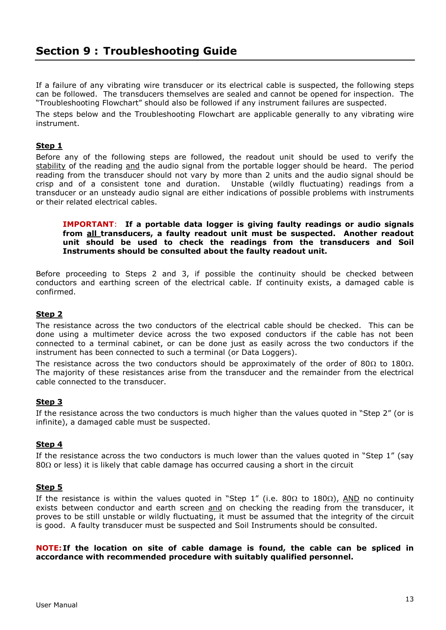<span id="page-12-0"></span>If a failure of any vibrating wire transducer or its electrical cable is suspected, the following steps can be followed. The transducers themselves are sealed and cannot be opened for inspection. The "Troubleshooting Flowchart" should also be followed if any instrument failures are suspected.

The steps below and the Troubleshooting Flowchart are applicable generally to any vibrating wire instrument.

### **Step 1**

Before any of the following steps are followed, the readout unit should be used to verify the stability of the reading and the audio signal from the portable logger should be heard. The period reading from the transducer should not vary by more than 2 units and the audio signal should be crisp and of a consistent tone and duration. Unstable (wildly fluctuating) readings from a transducer or an unsteady audio signal are either indications of possible problems with instruments or their related electrical cables.

#### **IMPORTANT**: **If a portable data logger is giving faulty readings or audio signals from all transducers, a faulty readout unit must be suspected. Another readout unit should be used to check the readings from the transducers and Soil Instruments should be consulted about the faulty readout unit.**

Before proceeding to Steps 2 and 3, if possible the continuity should be checked between conductors and earthing screen of the electrical cable. If continuity exists, a damaged cable is confirmed.

### **Step 2**

The resistance across the two conductors of the electrical cable should be checked. This can be done using a multimeter device across the two exposed conductors if the cable has not been connected to a terminal cabinet, or can be done just as easily across the two conductors if the instrument has been connected to such a terminal (or Data Loggers).

The resistance across the two conductors should be approximately of the order of 80 $\Omega$  to 180 $\Omega$ . The majority of these resistances arise from the transducer and the remainder from the electrical cable connected to the transducer.

### **Step 3**

If the resistance across the two conductors is much higher than the values quoted in "Step 2" (or is infinite), a damaged cable must be suspected.

### **Step 4**

If the resistance across the two conductors is much lower than the values quoted in "Step 1" (say  $80\Omega$  or less) it is likely that cable damage has occurred causing a short in the circuit

### **Step 5**

If the resistance is within the values quoted in "Step 1" (i.e. 80 $\Omega$  to 180 $\Omega$ ), AND no continuity exists between conductor and earth screen and on checking the reading from the transducer, it proves to be still unstable or wildly fluctuating, it must be assumed that the integrity of the circuit is good. A faulty transducer must be suspected and Soil Instruments should be consulted.

### **NOTE: If the location on site of cable damage is found, the cable can be spliced in accordance with recommended procedure with suitably qualified personnel.**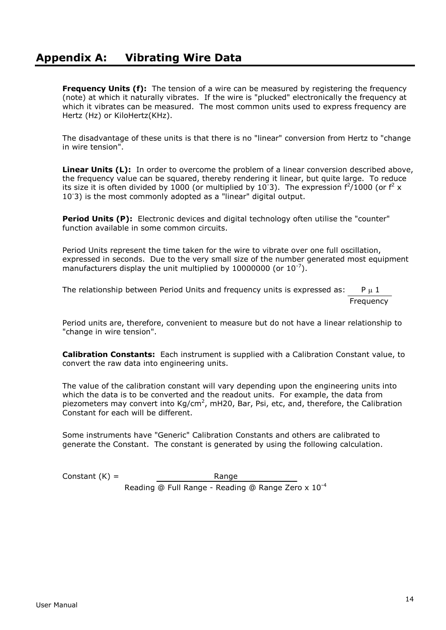## <span id="page-13-0"></span>**Appendix A: Vibrating Wire Data**

**Frequency Units (f):** The tension of a wire can be measured by registering the frequency (note) at which it naturally vibrates. If the wire is "plucked" electronically the frequency at which it vibrates can be measured. The most common units used to express frequency are Hertz (Hz) or KiloHertz(KHz).

The disadvantage of these units is that there is no "linear" conversion from Hertz to "change in wire tension".

**Linear Units (L):** In order to overcome the problem of a linear conversion described above, the frequency value can be squared, thereby rendering it linear, but quite large. To reduce its size it is often divided by 1000 (or multiplied by 10<sup>-3</sup>). The expression  $f^2/1000$  (or  $f^2 \times$ 10-3) is the most commonly adopted as a "linear" digital output.

**Period Units (P):** Electronic devices and digital technology often utilise the "counter" function available in some common circuits.

Period Units represent the time taken for the wire to vibrate over one full oscillation, expressed in seconds. Due to the very small size of the number generated most equipment manufacturers display the unit multiplied by 10000000 (or  $10^{-7}$ ).

The relationship between Period Units and frequency units is expressed as:  $P \mu 1$ Frequency

Period units are, therefore, convenient to measure but do not have a linear relationship to "change in wire tension".

**Calibration Constants:** Each instrument is supplied with a Calibration Constant value, to convert the raw data into engineering units.

The value of the calibration constant will vary depending upon the engineering units into which the data is to be converted and the readout units. For example, the data from piezometers may convert into  $Kg/cm^2$ , mH20, Bar, Psi, etc, and, therefore, the Calibration Constant for each will be different.

Some instruments have "Generic" Calibration Constants and others are calibrated to generate the Constant. The constant is generated by using the following calculation.

 $Constant(K) =$ Range Reading @ Full Range - Reading @ Range Zero x 10-4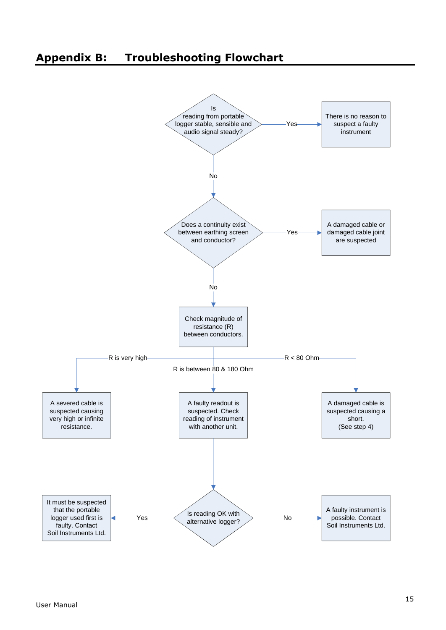# <span id="page-14-0"></span>**Appendix B: Troubleshooting Flowchart**